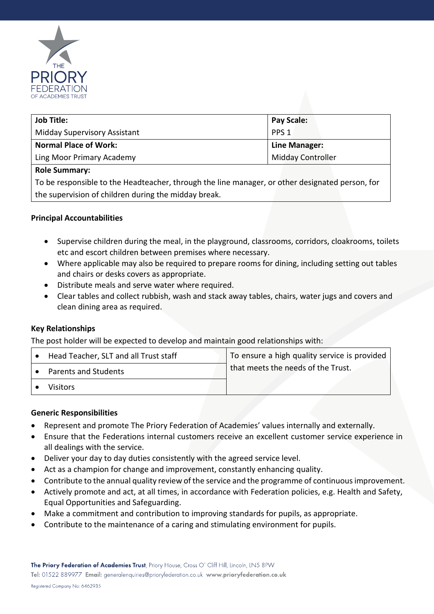

| <b>Job Title:</b>                   | <b>Pay Scale:</b> |
|-------------------------------------|-------------------|
| <b>Midday Supervisory Assistant</b> | PPS <sub>1</sub>  |
| <b>Normal Place of Work:</b>        | Line Manager:     |
| Ling Moor Primary Academy           | Midday Controller |

# **Role Summary:**

To be responsible to the Headteacher, through the line manager, or other designated person, for the supervision of children during the midday break.

# **Principal Accountabilities**

- Supervise children during the meal, in the playground, classrooms, corridors, cloakrooms, toilets etc and escort children between premises where necessary.
- Where applicable may also be required to prepare rooms for dining, including setting out tables and chairs or desks covers as appropriate.
- Distribute meals and serve water where required.
- Clear tables and collect rubbish, wash and stack away tables, chairs, water jugs and covers and clean dining area as required.

# **Key Relationships**

The post holder will be expected to develop and maintain good relationships with:

| Head Teacher, SLT and all Trust staff | To ensure a high quality service is provided |
|---------------------------------------|----------------------------------------------|
| Parents and Students                  | that meets the needs of the Trust.           |
| Visitors                              |                                              |

# **Generic Responsibilities**

- Represent and promote The Priory Federation of Academies' values internally and externally.
- Ensure that the Federations internal customers receive an excellent customer service experience in all dealings with the service.
- Deliver your day to day duties consistently with the agreed service level.
- Act as a champion for change and improvement, constantly enhancing quality.
- Contribute to the annual quality review of the service and the programme of continuous improvement.
- Actively promote and act, at all times, in accordance with Federation policies, e.g. Health and Safety, Equal Opportunities and Safeguarding.
- Make a commitment and contribution to improving standards for pupils, as appropriate.
- Contribute to the maintenance of a caring and stimulating environment for pupils.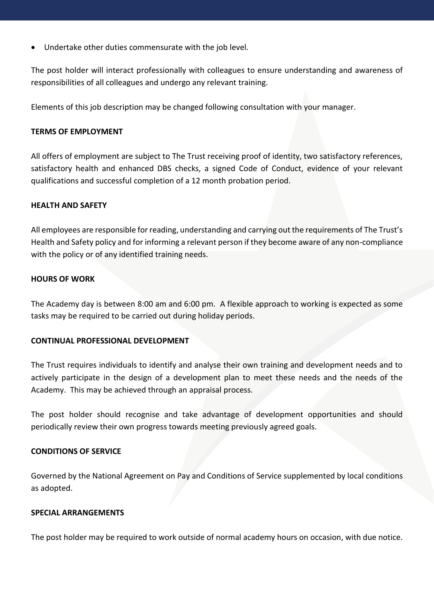Undertake other duties commensurate with the job level.

The post holder will interact professionally with colleagues to ensure understanding and awareness of responsibilities of all colleagues and undergo any relevant training.

Elements of this job description may be changed following consultation with your manager.

# **TERMS OF EMPLOYMENT**

All offers of employment are subject to The Trust receiving proof of identity, two satisfactory references, satisfactory health and enhanced DBS checks, a signed Code of Conduct, evidence of your relevant qualifications and successful completion of a 12 month probation period.

#### **HEALTH AND SAFETY**

All employees are responsible for reading, understanding and carrying out the requirements of The Trust's Health and Safety policy and for informing a relevant person if they become aware of any non-compliance with the policy or of any identified training needs.

#### **HOURS OF WORK**

The Academy day is between 8:00 am and 6:00 pm. A flexible approach to working is expected as some tasks may be required to be carried out during holiday periods.

# **CONTINUAL PROFESSIONAL DEVELOPMENT**

The Trust requires individuals to identify and analyse their own training and development needs and to actively participate in the design of a development plan to meet these needs and the needs of the Academy. This may be achieved through an appraisal process.

The post holder should recognise and take advantage of development opportunities and should periodically review their own progress towards meeting previously agreed goals.

# **CONDITIONS OF SERVICE**

Governed by the National Agreement on Pay and Conditions of Service supplemented by local conditions as adopted.

#### **SPECIAL ARRANGEMENTS**

The post holder may be required to work outside of normal academy hours on occasion, with due notice.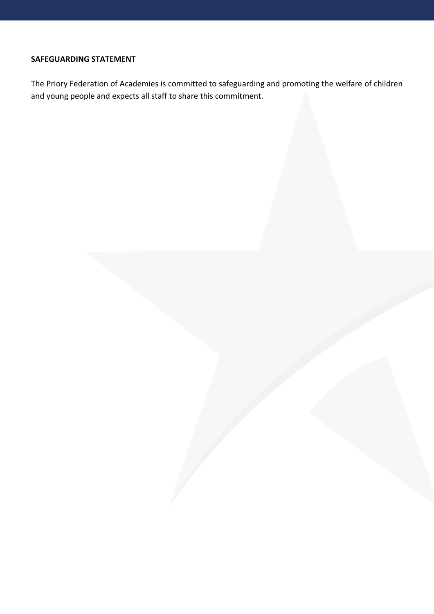# **SAFEGUARDING STATEMENT**

The Priory Federation of Academies is committed to safeguarding and promoting the welfare of children and young people and expects all staff to share this commitment.